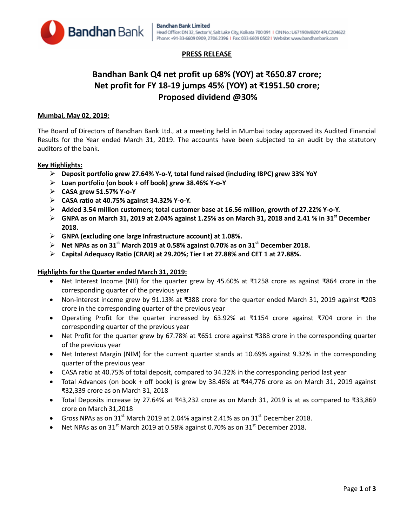

## **PRESS RELEASE**

# **Bandhan Bank Q4 net profit up 68% (YOY) at ₹650.87 crore; Net profit for FY 18-19 jumps 45% (YOY) at ₹1951.50 crore; Proposed dividend @30%**

### **Mumbai, May 02, 2019:**

The Board of Directors of Bandhan Bank Ltd., at a meeting held in Mumbai today approved its Audited Financial Results for the Year ended March 31, 2019. The accounts have been subjected to an audit by the statutory auditors of the bank.

### **Key Highlights:**

- **Deposit portfolio grew 27.64% Y-o-Y, total fund raised (including IBPC) grew 33% YoY**
- **Loan portfolio (on book + off book) grew 38.46% Y-o-Y**
- **CASA grew 51.57% Y-o-Y**
- **CASA ratio at 40.75% against 34.32% Y-o-Y.**
- **Added 3.54 million customers; total customer base at 16.56 million, growth of 27.22% Y-o-Y.**
- **GNPA as on March 31, 2019 at 2.04% against 1.25% as on March 31, 2018 and 2.41 % in 31st December 2018.**
- **GNPA (excluding one large Infrastructure account) at 1.08%.**
- **Net NPAs as on 31st March 2019 at 0.58% against 0.70% as on 31st December 2018.**
- **Capital Adequacy Ratio (CRAR) at 29.20%; Tier I at 27.88% and CET 1 at 27.88%.**

### **Highlights for the Quarter ended March 31, 2019:**

- Net Interest Income (NII) for the quarter grew by 45.60% at ₹1258 crore as against ₹864 crore in the corresponding quarter of the previous year
- Non-interest income grew by 91.13% at ₹388 crore for the quarter ended March 31, 2019 against ₹203 crore in the corresponding quarter of the previous year
- Operating Profit for the quarter increased by 63.92% at ₹1154 crore against ₹704 crore in the corresponding quarter of the previous year
- Net Profit for the quarter grew by 67.78% at ₹651 crore against ₹388 crore in the corresponding quarter of the previous year
- Net Interest Margin (NIM) for the current quarter stands at 10.69% against 9.32% in the corresponding quarter of the previous year
- CASA ratio at 40.75% of total deposit, compared to 34.32% in the corresponding period last year
- Total Advances (on book + off book) is grew by 38.46% at ₹44,776 crore as on March 31, 2019 against ₹32,339 crore as on March 31, 2018
- Total Deposits increase by 27.64% at ₹43,232 crore as on March 31, 2019 is at as compared to ₹33,869 crore on March 31,2018
- Gross NPAs as on 31<sup>st</sup> March 2019 at 2.04% against 2.41% as on 31<sup>st</sup> December 2018.
- Net NPAs as on  $31^{st}$  March 2019 at 0.58% against 0.70% as on  $31^{st}$  December 2018.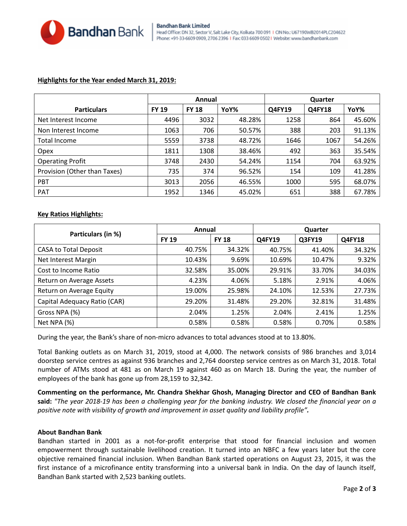

#### Bandhan Bank Limited Head Office: DN 32, Sector V, Salt Lake City, Kolkata 700 091 | CIN No.: U67190WB2014PLC204622 Phone: +91-33-6609 0909, 2706 2396 | Fax: 033 6609 0502 | Website: www.bandhanbank.com

### **Highlights for the Year ended March 31, 2019:**

|                              | Annual       |              |        | Quarter |               |        |
|------------------------------|--------------|--------------|--------|---------|---------------|--------|
| <b>Particulars</b>           | <b>FY 19</b> | <b>FY 18</b> | YoY%   | Q4FY19  | <b>Q4FY18</b> | YoY%   |
| Net Interest Income          | 4496         | 3032         | 48.28% | 1258    | 864           | 45.60% |
| Non Interest Income          | 1063         | 706          | 50.57% | 388     | 203           | 91.13% |
| Total Income                 | 5559         | 3738         | 48.72% | 1646    | 1067          | 54.26% |
| Opex                         | 1811         | 1308         | 38.46% | 492     | 363           | 35.54% |
| <b>Operating Profit</b>      | 3748         | 2430         | 54.24% | 1154    | 704           | 63.92% |
| Provision (Other than Taxes) | 735          | 374          | 96.52% | 154     | 109           | 41.28% |
| <b>PBT</b>                   | 3013         | 2056         | 46.55% | 1000    | 595           | 68.07% |
| <b>PAT</b>                   | 1952         | 1346         | 45.02% | 651     | 388           | 67.78% |

### **Key Ratios Highlights:**

| Particulars (in %)           | Annual       |              | Quarter |        |               |  |
|------------------------------|--------------|--------------|---------|--------|---------------|--|
|                              | <b>FY 19</b> | <b>FY 18</b> | Q4FY19  | Q3FY19 | <b>Q4FY18</b> |  |
| <b>CASA to Total Deposit</b> | 40.75%       | 34.32%       | 40.75%  | 41.40% | 34.32%        |  |
| Net Interest Margin          | 10.43%       | 9.69%        | 10.69%  | 10.47% | 9.32%         |  |
| Cost to Income Ratio         | 32.58%       | 35.00%       | 29.91%  | 33.70% | 34.03%        |  |
| Return on Average Assets     | 4.23%        | 4.06%        | 5.18%   | 2.91%  | 4.06%         |  |
| Return on Average Equity     | 19.00%       | 25.98%       | 24.10%  | 12.53% | 27.73%        |  |
| Capital Adequacy Ratio (CAR) | 29.20%       | 31.48%       | 29.20%  | 32.81% | 31.48%        |  |
| Gross NPA (%)                | 2.04%        | 1.25%        | 2.04%   | 2.41%  | 1.25%         |  |
| Net NPA (%)                  | 0.58%        | 0.58%        | 0.58%   | 0.70%  | 0.58%         |  |

During the year, the Bank's share of non-micro advances to total advances stood at to 13.80%.

Total Banking outlets as on March 31, 2019, stood at 4,000. The network consists of 986 branches and 3,014 doorstep service centres as against 936 branches and 2,764 doorstep service centres as on March 31, 2018. Total number of ATMs stood at 481 as on March 19 against 460 as on March 18. During the year, the number of employees of the bank has gone up from 28,159 to 32,342.

**Commenting on the performance, Mr. Chandra Shekhar Ghosh, Managing Director and CEO of Bandhan Bank said:** *"The year 2018-19 has been a challenging year for the banking industry. We closed the financial year on a positive note with visibility of growth and improvement in asset quality and liability profile".*

### **About Bandhan Bank**

Bandhan started in 2001 as a not-for-profit enterprise that stood for financial inclusion and women empowerment through sustainable livelihood creation. It turned into an NBFC a few years later but the core objective remained financial inclusion. When Bandhan Bank started operations on August 23, 2015, it was the first instance of a microfinance entity transforming into a universal bank in India. On the day of launch itself, Bandhan Bank started with 2,523 banking outlets.